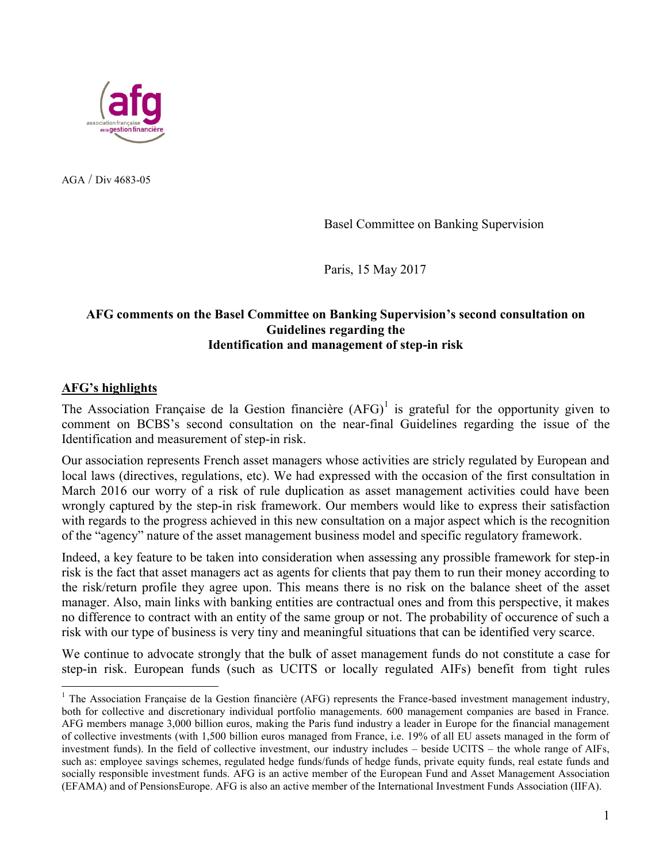

AGA / Div 4683-05

Basel Committee on Banking Supervision

Paris, 15 May 2017

## **AFG comments on the Basel Committee on Banking Supervision's second consultation on Guidelines regarding the Identification and management of step-in risk**

## **AFG's highlights**

 $\overline{a}$ 

The Association Française de la Gestion financière  $(AFG)^{1}$  is grateful for the opportunity given to comment on BCBS's second consultation on the near-final Guidelines regarding the issue of the Identification and measurement of step-in risk.

Our association represents French asset managers whose activities are stricly regulated by European and local laws (directives, regulations, etc). We had expressed with the occasion of the first consultation in March 2016 our worry of a risk of rule duplication as asset management activities could have been wrongly captured by the step-in risk framework. Our members would like to express their satisfaction with regards to the progress achieved in this new consultation on a major aspect which is the recognition of the "agency" nature of the asset management business model and specific regulatory framework.

Indeed, a key feature to be taken into consideration when assessing any prossible framework for step-in risk is the fact that asset managers act as agents for clients that pay them to run their money according to the risk/return profile they agree upon. This means there is no risk on the balance sheet of the asset manager. Also, main links with banking entities are contractual ones and from this perspective, it makes no difference to contract with an entity of the same group or not. The probability of occurence of such a risk with our type of business is very tiny and meaningful situations that can be identified very scarce.

We continue to advocate strongly that the bulk of asset management funds do not constitute a case for step-in risk. European funds (such as UCITS or locally regulated AIFs) benefit from tight rules

 $1$  The Association Française de la Gestion financière (AFG) represents the France-based investment management industry, both for collective and discretionary individual portfolio managements. 600 management companies are based in France. AFG members manage 3,000 billion euros, making the Paris fund industry a leader in Europe for the financial management of collective investments (with 1,500 billion euros managed from France, i.e. 19% of all EU assets managed in the form of investment funds). In the field of collective investment, our industry includes – beside UCITS – the whole range of AIFs, such as: employee savings schemes, regulated hedge funds/funds of hedge funds, private equity funds, real estate funds and socially responsible investment funds. AFG is an active member of the European Fund and Asset Management Association (EFAMA) and of PensionsEurope. AFG is also an active member of the International Investment Funds Association (IIFA).